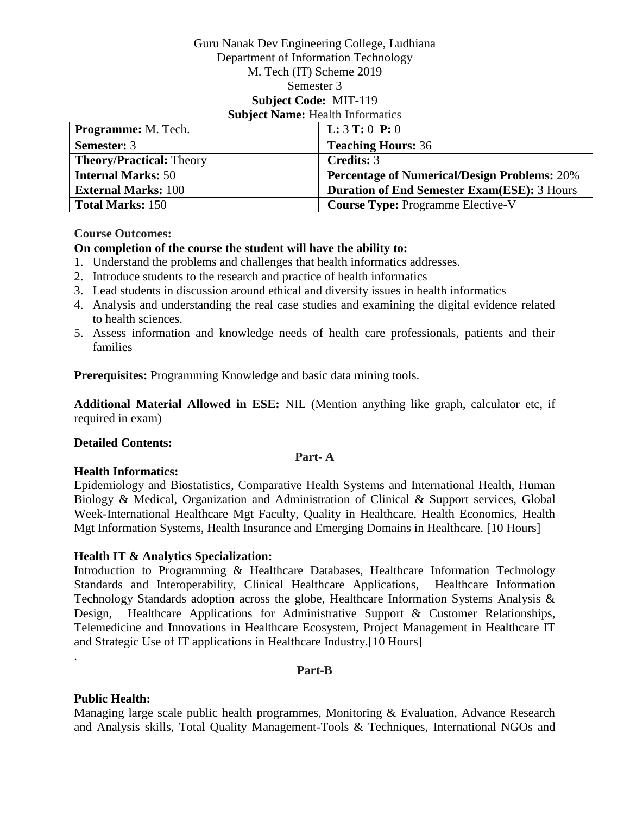#### Guru Nanak Dev Engineering College, Ludhiana Department of Information Technology M. Tech (IT) Scheme 2019 Semester 3 **Subject Code:** MIT-119 **Subject Name:** Health Informatics

| <b>Programme:</b> M. Tech.      | <b>L:</b> $3$ <b>T:</b> $0$ <b>P:</b> $0$           |
|---------------------------------|-----------------------------------------------------|
| <b>Semester: 3</b>              | <b>Teaching Hours: 36</b>                           |
| <b>Theory/Practical: Theory</b> | <b>Credits: 3</b>                                   |
| <b>Internal Marks: 50</b>       | <b>Percentage of Numerical/Design Problems: 20%</b> |
| <b>External Marks: 100</b>      | <b>Duration of End Semester Exam(ESE): 3 Hours</b>  |
| <b>Total Marks: 150</b>         | <b>Course Type: Programme Elective-V</b>            |

#### **Course Outcomes:**

#### **On completion of the course the student will have the ability to:**

- 1. Understand the problems and challenges that health informatics addresses.
- 2. Introduce students to the research and practice of health informatics
- 3. Lead students in discussion around ethical and diversity issues in health informatics
- 4. Analysis and understanding the real case studies and examining the digital evidence related to health sciences.
- 5. Assess information and knowledge needs of health care professionals, patients and their families

**Prerequisites:** Programming Knowledge and basic data mining tools.

**Additional Material Allowed in ESE:** NIL (Mention anything like graph, calculator etc, if required in exam)

#### **Detailed Contents:**

#### **Part- A**

#### **Health Informatics:**

Epidemiology and Biostatistics, Comparative Health Systems and International Health, Human Biology & Medical, Organization and Administration of Clinical & Support services, Global Week-International Healthcare Mgt Faculty, Quality in Healthcare, Health Economics, Health Mgt Information Systems, Health Insurance and Emerging Domains in Healthcare. [10 Hours]

#### **Health IT & Analytics Specialization:**

Introduction to Programming & Healthcare Databases, Healthcare Information Technology Standards and Interoperability, Clinical Healthcare Applications, Healthcare Information Technology Standards adoption across the globe, Healthcare Information Systems Analysis & Design, Healthcare Applications for Administrative Support & Customer Relationships, Telemedicine and Innovations in Healthcare Ecosystem, Project Management in Healthcare IT and Strategic Use of IT applications in Healthcare Industry.[10 Hours]

#### **Part-B**

#### **Public Health:**

.

Managing large scale public health programmes, Monitoring & Evaluation, Advance Research and Analysis skills, Total Quality Management-Tools & Techniques, International NGOs and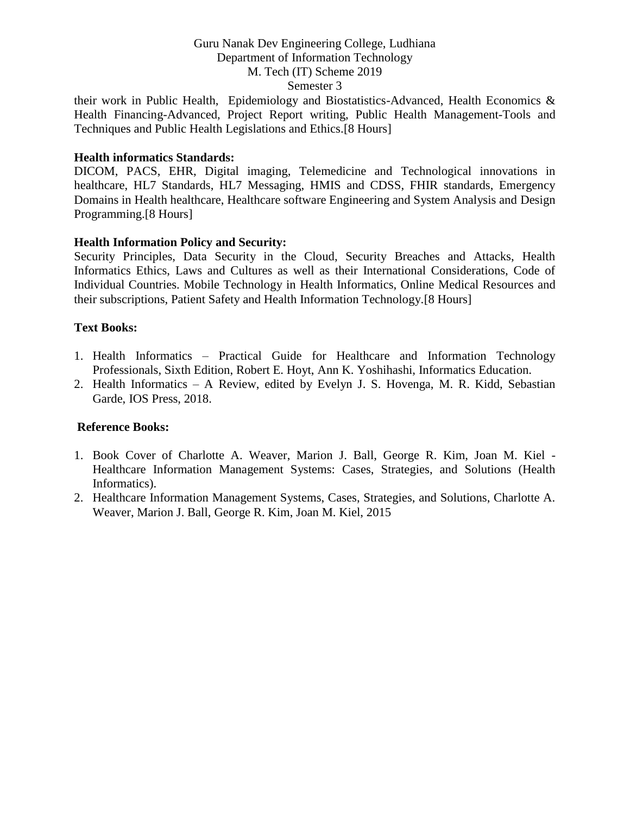their work in Public Health, Epidemiology and Biostatistics-Advanced, Health Economics & Health Financing-Advanced, Project Report writing, Public Health Management-Tools and Techniques and Public Health Legislations and Ethics.[8 Hours]

#### **Health informatics Standards:**

DICOM, PACS, EHR, Digital imaging, Telemedicine and Technological innovations in healthcare, HL7 Standards, HL7 Messaging, HMIS and CDSS, FHIR standards, Emergency Domains in Health healthcare, Healthcare software Engineering and System Analysis and Design Programming.[8 Hours]

#### **Health Information Policy and Security:**

Security Principles, Data Security in the Cloud, Security Breaches and Attacks, Health Informatics Ethics, Laws and Cultures as well as their International Considerations, Code of Individual Countries. Mobile Technology in Health Informatics, Online Medical Resources and their subscriptions, Patient Safety and Health Information Technology.[8 Hours]

#### **Text Books:**

- 1. Health Informatics Practical Guide for Healthcare and Information Technology Professionals, Sixth Edition, Robert E. Hoyt, Ann K. Yoshihashi, Informatics Education.
- 2. Health Informatics A Review, edited by Evelyn J. S. Hovenga, M. R. Kidd, Sebastian Garde, IOS Press, 2018.

#### **Reference Books:**

- 1. Book Cover of Charlotte A. Weaver, Marion J. Ball, George R. Kim, Joan M. Kiel Healthcare Information Management Systems: Cases, Strategies, and Solutions (Health Informatics).
- 2. Healthcare Information Management Systems, Cases, Strategies, and Solutions, Charlotte A. Weaver, Marion J. Ball, George R. Kim, Joan M. Kiel, 2015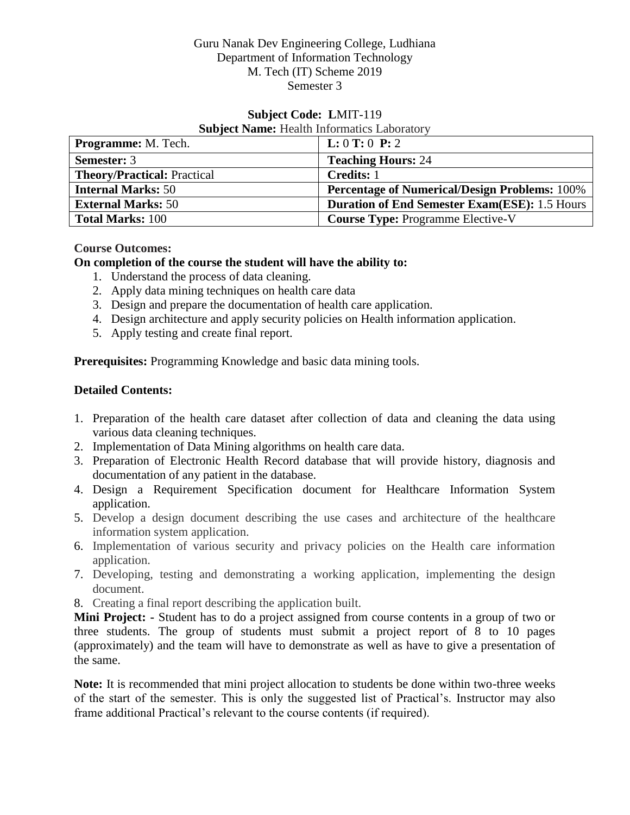# **Subject Code: L**MIT-119 **Subject Name:** Health Informatics Laboratory

| <b>Programme:</b> M. Tech.         | L: 0 T: 0 P: 2                                       |
|------------------------------------|------------------------------------------------------|
| <b>Semester: 3</b>                 | <b>Teaching Hours: 24</b>                            |
| <b>Theory/Practical: Practical</b> | <b>Credits: 1</b>                                    |
| <b>Internal Marks: 50</b>          | <b>Percentage of Numerical/Design Problems: 100%</b> |
| <b>External Marks: 50</b>          | <b>Duration of End Semester Exam(ESE): 1.5 Hours</b> |
| <b>Total Marks: 100</b>            | <b>Course Type: Programme Elective-V</b>             |

# **Course Outcomes:**

# **On completion of the course the student will have the ability to:**

- 1. Understand the process of data cleaning.
- 2. Apply data mining techniques on health care data
- 3. Design and prepare the documentation of health care application.
- 4. Design architecture and apply security policies on Health information application.
- 5. Apply testing and create final report.

**Prerequisites:** Programming Knowledge and basic data mining tools.

# **Detailed Contents:**

- 1. Preparation of the health care dataset after collection of data and cleaning the data using various data cleaning techniques.
- 2. Implementation of Data Mining algorithms on health care data.
- 3. Preparation of Electronic Health Record database that will provide history, diagnosis and documentation of any patient in the database.
- 4. Design a Requirement Specification document for Healthcare Information System application.
- 5. Develop a design document describing the use cases and architecture of the healthcare information system application.
- 6. Implementation of various security and privacy policies on the Health care information application.
- 7. Developing, testing and demonstrating a working application, implementing the design document.
- 8. Creating a final report describing the application built.

**Mini Project: -** Student has to do a project assigned from course contents in a group of two or three students. The group of students must submit a project report of 8 to 10 pages (approximately) and the team will have to demonstrate as well as have to give a presentation of the same.

**Note:** It is recommended that mini project allocation to students be done within two-three weeks of the start of the semester. This is only the suggested list of Practical's. Instructor may also frame additional Practical's relevant to the course contents (if required).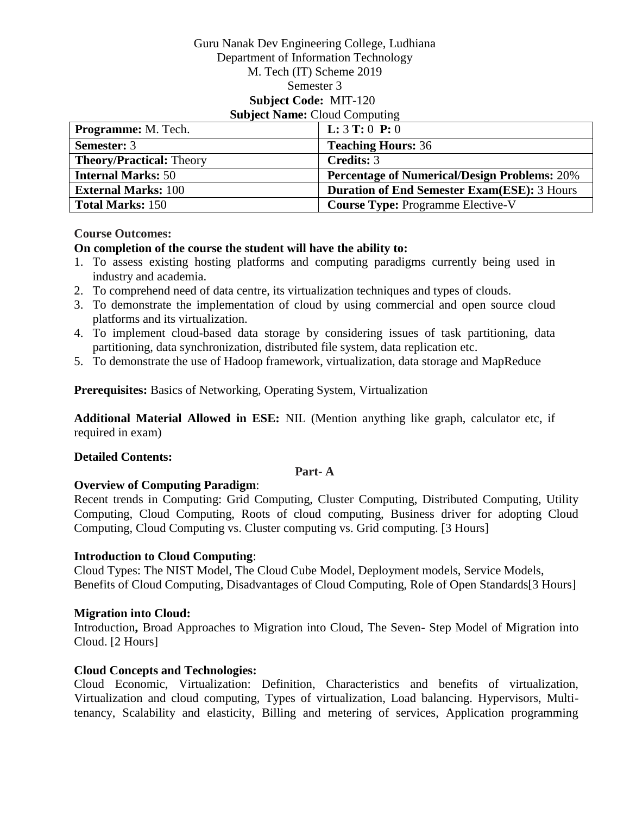#### Guru Nanak Dev Engineering College, Ludhiana Department of Information Technology M. Tech (IT) Scheme 2019 Semester 3 **Subject Code:** MIT-120 **Subject Name: Cloud Computing**

| <b>Programme:</b> M. Tech.      | <b>L:</b> $3$ <b>T:</b> $0$ <b>P:</b> $0$           |
|---------------------------------|-----------------------------------------------------|
| <b>Semester: 3</b>              | <b>Teaching Hours: 36</b>                           |
| <b>Theory/Practical: Theory</b> | <b>Credits: 3</b>                                   |
| <b>Internal Marks: 50</b>       | <b>Percentage of Numerical/Design Problems: 20%</b> |
| <b>External Marks: 100</b>      | <b>Duration of End Semester Exam(ESE): 3 Hours</b>  |
| <b>Total Marks: 150</b>         | <b>Course Type: Programme Elective-V</b>            |

#### **Course Outcomes:**

#### **On completion of the course the student will have the ability to:**

- 1. To assess existing hosting platforms and computing paradigms currently being used in industry and academia.
- 2. To comprehend need of data centre, its virtualization techniques and types of clouds.
- 3. To demonstrate the implementation of cloud by using commercial and open source cloud platforms and its virtualization.
- 4. To implement cloud-based data storage by considering issues of task partitioning, data partitioning, data synchronization, distributed file system, data replication etc.
- 5. To demonstrate the use of Hadoop framework, virtualization, data storage and MapReduce

**Prerequisites:** Basics of Networking, Operating System, Virtualization

**Additional Material Allowed in ESE:** NIL (Mention anything like graph, calculator etc, if required in exam)

#### **Detailed Contents:**

#### **Part- A**

#### **Overview of Computing Paradigm**:

Recent trends in Computing: Grid Computing, Cluster Computing, Distributed Computing, Utility Computing, Cloud Computing, Roots of cloud computing, Business driver for adopting Cloud Computing, Cloud Computing vs. Cluster computing vs. Grid computing. [3 Hours]

#### **Introduction to Cloud Computing**:

Cloud Types: The NIST Model, The Cloud Cube Model, Deployment models, Service Models, Benefits of Cloud Computing, Disadvantages of Cloud Computing, Role of Open Standards[3 Hours]

#### **Migration into Cloud:**

Introduction**,** Broad Approaches to Migration into Cloud, The Seven- Step Model of Migration into Cloud. [2 Hours]

#### **Cloud Concepts and Technologies:**

Cloud Economic, Virtualization: Definition, Characteristics and benefits of virtualization, Virtualization and cloud computing, Types of virtualization, Load balancing. Hypervisors, Multitenancy, Scalability and elasticity, Billing and metering of services, Application programming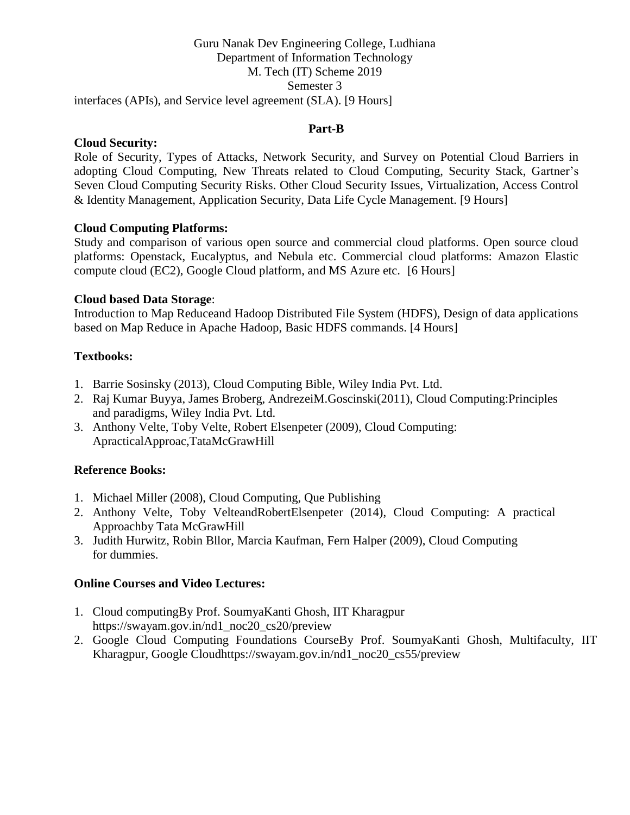#### Guru Nanak Dev Engineering College, Ludhiana Department of Information Technology M. Tech (IT) Scheme 2019 Semester 3 interfaces (APIs), and Service level agreement (SLA). [9 Hours]

#### **Part-B**

#### **Cloud Security:**

Role of Security, Types of Attacks, Network Security, and Survey on Potential Cloud Barriers in adopting Cloud Computing, New Threats related to Cloud Computing, Security Stack, Gartner's Seven Cloud Computing Security Risks. Other Cloud Security Issues, Virtualization, Access Control & Identity Management, Application Security, Data Life Cycle Management. [9 Hours]

#### **Cloud Computing Platforms:**

Study and comparison of various open source and commercial cloud platforms. Open source cloud platforms: Openstack, Eucalyptus, and Nebula etc. Commercial cloud platforms: Amazon Elastic compute cloud (EC2), Google Cloud platform, and MS Azure etc. [6 Hours]

#### **Cloud based Data Storage**:

Introduction to Map Reduceand Hadoop Distributed File System (HDFS), Design of data applications based on Map Reduce in Apache Hadoop, Basic HDFS commands. [4 Hours]

#### **Textbooks:**

- 1. Barrie Sosinsky (2013), Cloud Computing Bible, Wiley India Pvt. Ltd.
- 2. Raj Kumar Buyya, James Broberg, AndrezeiM.Goscinski(2011), Cloud Computing:Principles and paradigms, Wiley India Pvt. Ltd.
- 3. Anthony Velte, Toby Velte, Robert Elsenpeter (2009), Cloud Computing: ApracticalApproac,TataMcGrawHill

#### **Reference Books:**

- 1. Michael Miller (2008), Cloud Computing, Que Publishing
- 2. Anthony Velte, Toby VelteandRobertElsenpeter (2014), Cloud Computing: A practical Approachby Tata McGrawHill
- 3. Judith Hurwitz, Robin Bllor, Marcia Kaufman, Fern Halper (2009), Cloud Computing for dummies.

#### **Online Courses and Video Lectures:**

- 1. Cloud computingBy Prof. SoumyaKanti Ghosh, IIT Kharagpur https://swayam.gov.in/nd1\_noc20\_cs20/preview
- 2. Google Cloud Computing Foundations CourseBy Prof. SoumyaKanti Ghosh, Multifaculty, IIT Kharagpur, Google Cloudhttps://swayam.gov.in/nd1\_noc20\_cs55/preview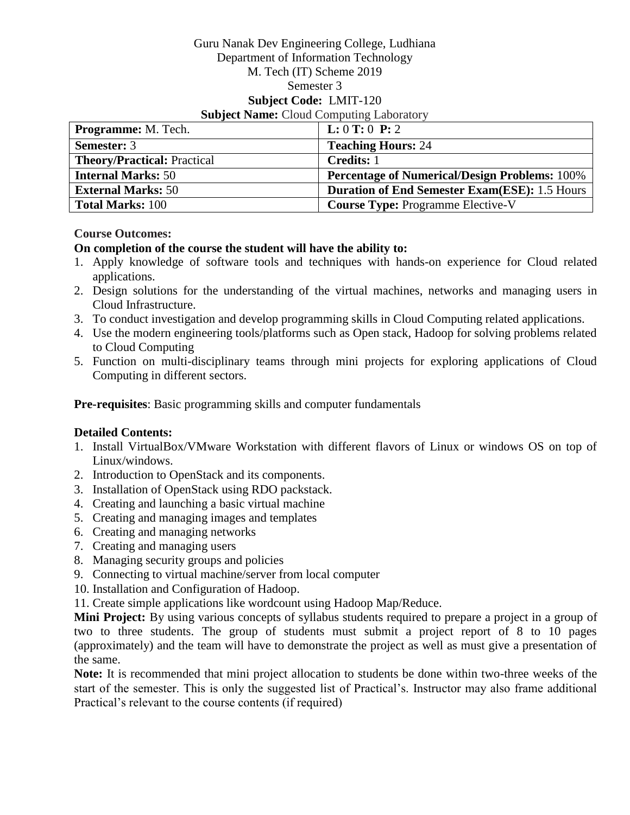#### Guru Nanak Dev Engineering College, Ludhiana Department of Information Technology M. Tech (IT) Scheme 2019 Semester 3 **Subject Code:** LMIT-120 **Subject Name:** Cloud Computing Laboratory

| <b>Programme:</b> M. Tech.         | L: 0 T: 0 P: 2                                       |
|------------------------------------|------------------------------------------------------|
| <b>Semester: 3</b>                 | <b>Teaching Hours: 24</b>                            |
| <b>Theory/Practical: Practical</b> | <b>Credits:</b> 1                                    |
| <b>Internal Marks: 50</b>          | <b>Percentage of Numerical/Design Problems: 100%</b> |
| <b>External Marks: 50</b>          | <b>Duration of End Semester Exam(ESE): 1.5 Hours</b> |
| <b>Total Marks: 100</b>            | <b>Course Type: Programme Elective-V</b>             |

#### **Course Outcomes:**

## **On completion of the course the student will have the ability to:**

- 1. Apply knowledge of software tools and techniques with hands-on experience for Cloud related applications.
- 2. Design solutions for the understanding of the virtual machines, networks and managing users in Cloud Infrastructure.
- 3. To conduct investigation and develop programming skills in Cloud Computing related applications.
- 4. Use the modern engineering tools/platforms such as Open stack, Hadoop for solving problems related to Cloud Computing
- 5. Function on multi-disciplinary teams through mini projects for exploring applications of Cloud Computing in different sectors.

**Pre-requisites**: Basic programming skills and computer fundamentals

# **Detailed Contents:**

- 1. Install VirtualBox/VMware Workstation with different flavors of Linux or windows OS on top of Linux/windows.
- 2. Introduction to OpenStack and its components.
- 3. Installation of OpenStack using RDO packstack.
- 4. Creating and launching a basic virtual machine
- 5. Creating and managing images and templates
- 6. Creating and managing networks
- 7. Creating and managing users
- 8. Managing security groups and policies
- 9. Connecting to virtual machine/server from local computer
- 10. Installation and Configuration of Hadoop.
- 11. Create simple applications like wordcount using Hadoop Map/Reduce.

**Mini Project:** By using various concepts of syllabus students required to prepare a project in a group of two to three students. The group of students must submit a project report of 8 to 10 pages (approximately) and the team will have to demonstrate the project as well as must give a presentation of the same.

**Note:** It is recommended that mini project allocation to students be done within two-three weeks of the start of the semester. This is only the suggested list of Practical's. Instructor may also frame additional Practical's relevant to the course contents (if required)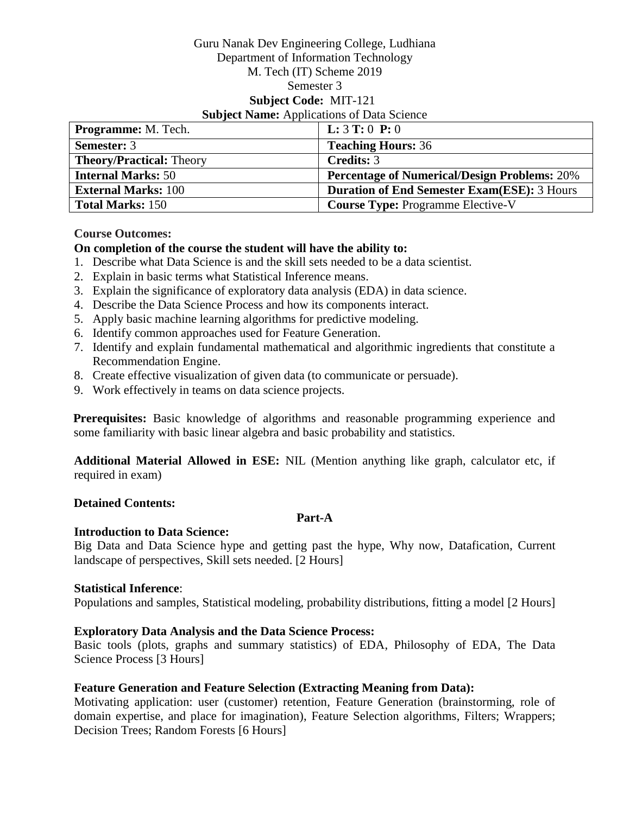#### Guru Nanak Dev Engineering College, Ludhiana Department of Information Technology M. Tech (IT) Scheme 2019 Semester 3 **Subject Code:** MIT-121 **Subject Name:** Applications of Data Science

| <b>Programme:</b> M. Tech.      | <b>L:</b> $3$ <b>T:</b> $0$ <b>P:</b> $0$           |
|---------------------------------|-----------------------------------------------------|
| <b>Semester: 3</b>              | <b>Teaching Hours: 36</b>                           |
| <b>Theory/Practical: Theory</b> | Credits: 3                                          |
| <b>Internal Marks: 50</b>       | <b>Percentage of Numerical/Design Problems: 20%</b> |
| <b>External Marks: 100</b>      | <b>Duration of End Semester Exam(ESE): 3 Hours</b>  |
| <b>Total Marks: 150</b>         | <b>Course Type: Programme Elective-V</b>            |

#### **Course Outcomes:**

#### **On completion of the course the student will have the ability to:**

- 1. Describe what Data Science is and the skill sets needed to be a data scientist.
- 2. Explain in basic terms what Statistical Inference means.
- 3. Explain the significance of exploratory data analysis (EDA) in data science.
- 4. Describe the Data Science Process and how its components interact.
- 5. Apply basic machine learning algorithms for predictive modeling.
- 6. Identify common approaches used for Feature Generation.
- 7. Identify and explain fundamental mathematical and algorithmic ingredients that constitute a Recommendation Engine.
- 8. Create effective visualization of given data (to communicate or persuade).
- 9. Work effectively in teams on data science projects.

**Prerequisites:** Basic knowledge of algorithms and reasonable programming experience and some familiarity with basic linear algebra and basic probability and statistics.

**Additional Material Allowed in ESE:** NIL (Mention anything like graph, calculator etc, if required in exam)

#### **Detained Contents:**

#### **Part-A**

#### **Introduction to Data Science:**

Big Data and Data Science hype and getting past the hype, Why now, Datafication, Current landscape of perspectives, Skill sets needed. [2 Hours]

#### **Statistical Inference**:

Populations and samples, Statistical modeling, probability distributions, fitting a model [2 Hours]

#### **Exploratory Data Analysis and the Data Science Process:**

Basic tools (plots, graphs and summary statistics) of EDA, Philosophy of EDA, The Data Science Process [3 Hours]

#### **Feature Generation and Feature Selection (Extracting Meaning from Data):**

Motivating application: user (customer) retention, Feature Generation (brainstorming, role of domain expertise, and place for imagination), Feature Selection algorithms, Filters; Wrappers; Decision Trees; Random Forests [6 Hours]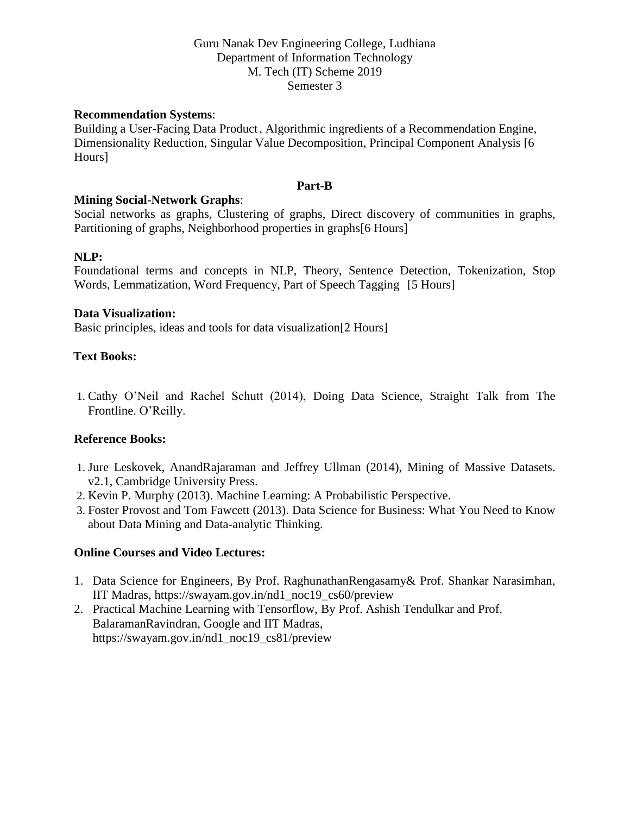#### **Recommendation Systems**:

Building a User-Facing Data Product, Algorithmic ingredients of a Recommendation Engine, Dimensionality Reduction, Singular Value Decomposition, Principal Component Analysis [6 Hours]

#### **Part-B**

#### **Mining Social-Network Graphs**:

Social networks as graphs, Clustering of graphs, Direct discovery of communities in graphs, Partitioning of graphs, Neighborhood properties in graphs[6 Hours]

#### **NLP:**

Foundational terms and concepts in NLP, Theory, Sentence Detection, Tokenization, Stop Words, Lemmatization, Word Frequency, Part of Speech Tagging [5 Hours]

#### **Data Visualization:**

Basic principles, ideas and tools for data visualization[2 Hours]

#### **Text Books:**

1. Cathy O'Neil and Rachel Schutt (2014), Doing Data Science, Straight Talk from The Frontline. O'Reilly.

#### **Reference Books:**

- 1. Jure Leskovek, AnandRajaraman and Jeffrey Ullman (2014), Mining of Massive Datasets. v2.1, Cambridge University Press.
- 2. Kevin P. Murphy (2013). Machine Learning: A Probabilistic Perspective.
- 3. Foster Provost and Tom Fawcett (2013). Data Science for Business: What You Need to Know about Data Mining and Data-analytic Thinking.

#### **Online Courses and Video Lectures:**

- 1. Data Science for Engineers, By Prof. RaghunathanRengasamy& Prof. Shankar Narasimhan, IIT Madras, https://swayam.gov.in/nd1\_noc19\_cs60/preview
- 2. Practical Machine Learning with Tensorflow, By Prof. Ashish Tendulkar and Prof. BalaramanRavindran, Google and IIT Madras, https://swayam.gov.in/nd1\_noc19\_cs81/preview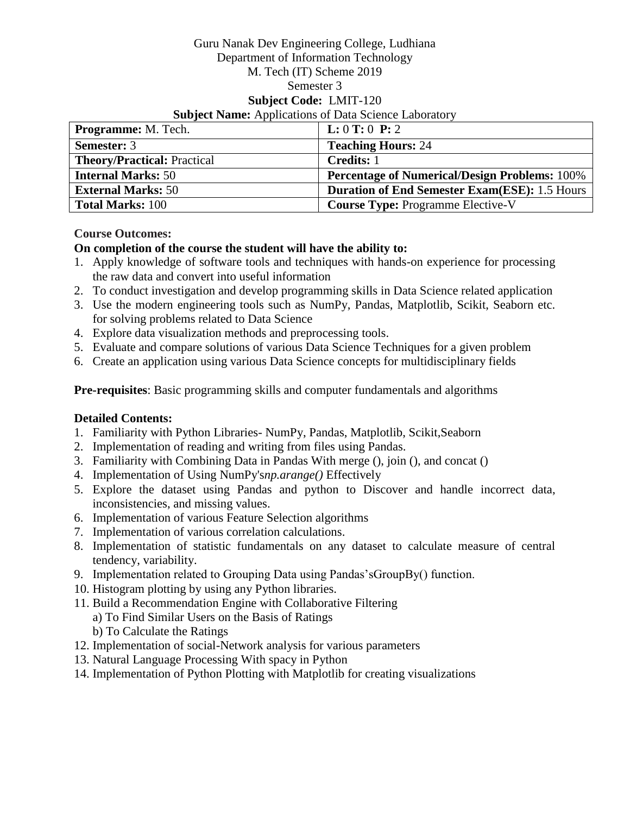## Guru Nanak Dev Engineering College, Ludhiana Department of Information Technology M. Tech (IT) Scheme 2019 Semester 3 **Subject Code:** LMIT-120 **Subject Name:** Applications of Data Science Laboratory

| <b>Programme:</b> M. Tech.         | L: 0 T: 0 P: 2                                       |
|------------------------------------|------------------------------------------------------|
| <b>Semester: 3</b>                 | <b>Teaching Hours: 24</b>                            |
| <b>Theory/Practical: Practical</b> | <b>Credits: 1</b>                                    |
| <b>Internal Marks: 50</b>          | <b>Percentage of Numerical/Design Problems: 100%</b> |
| <b>External Marks: 50</b>          | <b>Duration of End Semester Exam(ESE): 1.5 Hours</b> |
| <b>Total Marks: 100</b>            | <b>Course Type: Programme Elective-V</b>             |

## **Course Outcomes:**

# **On completion of the course the student will have the ability to:**

- 1. Apply knowledge of software tools and techniques with hands-on experience for processing the raw data and convert into useful information
- 2. To conduct investigation and develop programming skills in Data Science related application
- 3. Use the modern engineering tools such as NumPy, Pandas, Matplotlib, Scikit, Seaborn etc. for solving problems related to Data Science
- 4. Explore data visualization methods and preprocessing tools.
- 5. Evaluate and compare solutions of various Data Science Techniques for a given problem
- 6. Create an application using various Data Science concepts for multidisciplinary fields

**Pre-requisites**: Basic programming skills and computer fundamentals and algorithms

#### **Detailed Contents:**

- 1. Familiarity with Python Libraries- NumPy, Pandas, Matplotlib, Scikit,Seaborn
- 2. Implementation of reading and writing from files using Pandas.
- 3. Familiarity with Combining Data in Pandas With merge (), join (), and concat ()
- 4. Implementation of Using NumPy's*np.arange()* Effectively
- 5. Explore the dataset using Pandas and python to Discover and handle incorrect data, inconsistencies, and missing values.
- 6. Implementation of various Feature Selection algorithms
- 7. Implementation of various correlation calculations.
- 8. Implementation of statistic fundamentals on any dataset to calculate measure of central tendency, variability.
- 9. Implementation related to Grouping Data using Pandas'sGroupBy() function.
- 10. Histogram plotting by using any Python libraries.
- 11. Build a Recommendation Engine with Collaborative Filtering
	- a) To Find Similar Users on the Basis of Ratings
	- b) To Calculate the Ratings
- 12. Implementation of social-Network analysis for various parameters
- 13. Natural Language Processing With spacy in Python
- 14. Implementation of Python Plotting with Matplotlib for creating visualizations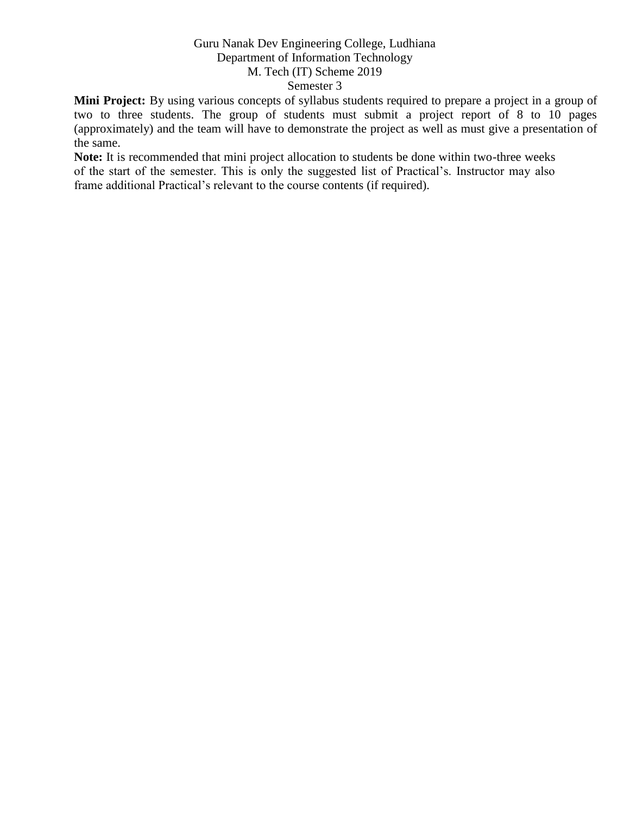**Mini Project:** By using various concepts of syllabus students required to prepare a project in a group of two to three students. The group of students must submit a project report of 8 to 10 pages (approximately) and the team will have to demonstrate the project as well as must give a presentation of the same.

**Note:** It is recommended that mini project allocation to students be done within two-three weeks of the start of the semester. This is only the suggested list of Practical's. Instructor may also frame additional Practical's relevant to the course contents (if required).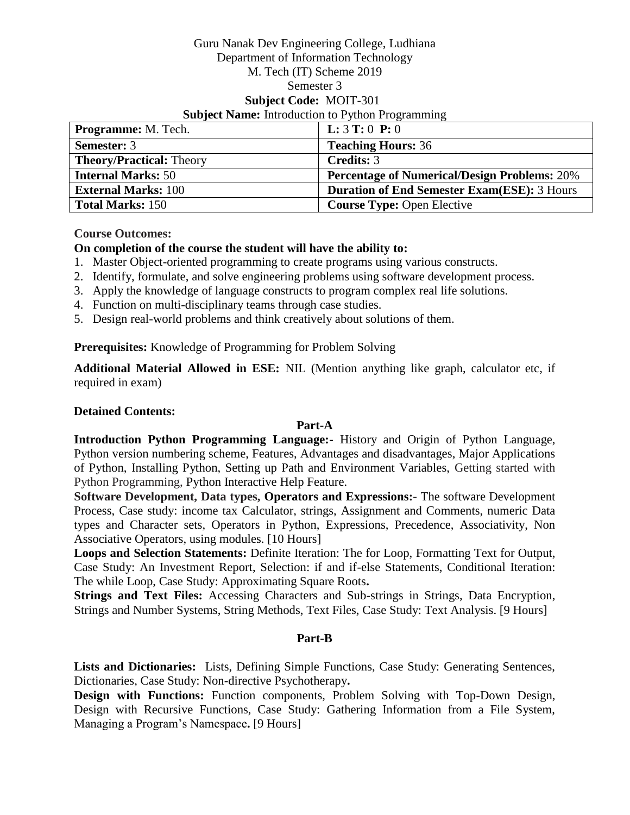#### Guru Nanak Dev Engineering College, Ludhiana Department of Information Technology M. Tech (IT) Scheme 2019 Semester 3 **Subject Code:** MOIT-301 **Subject Name:** Introduction to Python Programming

| Programme: M. Tech.             | <b>L:</b> $3$ <b>T:</b> $0$ <b>P:</b> $0$           |
|---------------------------------|-----------------------------------------------------|
| <b>Semester: 3</b>              | <b>Teaching Hours: 36</b>                           |
| <b>Theory/Practical: Theory</b> | <b>Credits: 3</b>                                   |
| <b>Internal Marks: 50</b>       | <b>Percentage of Numerical/Design Problems: 20%</b> |
| <b>External Marks: 100</b>      | <b>Duration of End Semester Exam(ESE): 3 Hours</b>  |
| <b>Total Marks: 150</b>         | <b>Course Type: Open Elective</b>                   |

**Course Outcomes:**

# **On completion of the course the student will have the ability to:**

- 1. Master Object-oriented programming to create programs using various constructs.
- 2. Identify, formulate, and solve engineering problems using software development process.
- 3. Apply the knowledge of language constructs to program complex real life solutions.
- 4. Function on multi-disciplinary teams through case studies.
- 5. Design real-world problems and think creatively about solutions of them.

**Prerequisites:** Knowledge of Programming for Problem Solving

**Additional Material Allowed in ESE:** NIL (Mention anything like graph, calculator etc, if required in exam)

#### **Detained Contents:**

# **Part-A**

**Introduction Python Programming Language:-** History and Origin of Python Language, Python version numbering scheme, Features, Advantages and disadvantages, Major Applications of Python, Installing Python, Setting up Path and Environment Variables, Getting started with Python Programming, Python Interactive Help Feature.

**Software Development, Data types, Operators and Expressions:-** The software Development Process, Case study: income tax Calculator, strings, Assignment and Comments, numeric Data types and Character sets, Operators in Python, Expressions, Precedence, Associativity, Non Associative Operators, using modules. [10 Hours]

**Loops and Selection Statements:** Definite Iteration: The for Loop, Formatting Text for Output, Case Study: An Investment Report, Selection: if and if-else Statements, Conditional Iteration: The while Loop, Case Study: Approximating Square Roots**.**

**Strings and Text Files:** Accessing Characters and Sub-strings in Strings, Data Encryption, Strings and Number Systems, String Methods, Text Files, Case Study: Text Analysis. [9 Hours]

#### **Part-B**

**Lists and Dictionaries:** Lists, Defining Simple Functions, Case Study: Generating Sentences, Dictionaries, Case Study: Non-directive Psychotherapy**.** 

**Design with Functions:** Function components, Problem Solving with Top-Down Design, Design with Recursive Functions, Case Study: Gathering Information from a File System, Managing a Program's Namespace**.** [9 Hours]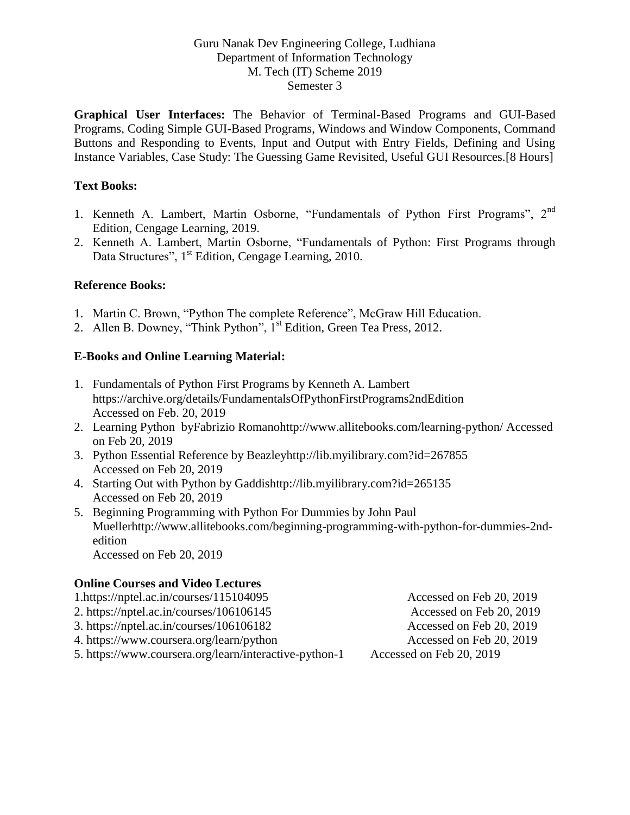**Graphical User Interfaces:** The Behavior of Terminal-Based Programs and GUI-Based Programs, Coding Simple GUI-Based Programs, Windows and Window Components, Command Buttons and Responding to Events, Input and Output with Entry Fields, Defining and Using Instance Variables, Case Study: The Guessing Game Revisited, Useful GUI Resources.[8 Hours]

# **Text Books:**

- 1. Kenneth A. Lambert, Martin Osborne, "Fundamentals of Python First Programs", 2<sup>nd</sup> Edition, Cengage Learning, 2019.
- 2. Kenneth A. Lambert, Martin Osborne, "Fundamentals of Python: First Programs through Data Structures", 1<sup>st</sup> Edition, Cengage Learning, 2010.

## **Reference Books:**

- 1. Martin C. Brown, "Python The complete Reference", McGraw Hill Education.
- 2. Allen B. Downey, "Think Python", 1<sup>st</sup> Edition, Green Tea Press, 2012.

## **E-Books and Online Learning Material:**

- 1. Fundamentals of Python First Programs by Kenneth A. Lambert https://archive.org/details/FundamentalsOfPythonFirstPrograms2ndEdition Accessed on Feb. 20, 2019
- 2. Learning Python byFabrizio Romanohttp://www.allitebooks.com/learning-python/ Accessed on Feb 20, 2019
- 3. Python Essential Reference by Beazleyhttp://lib.myilibrary.com?id=267855 Accessed on Feb 20, 2019
- 4. Starting Out with Python by Gaddishttp://lib.myilibrary.com?id=265135 Accessed on Feb 20, 2019
- 5. Beginning Programming with Python For Dummies by John Paul Muellerhttp://www.allitebooks.com/beginning-programming-with-python-for-dummies-2ndedition Accessed on Feb 20, 2019

# **Online Courses and Video Lectures**

| $1.$ https://nptel.ac.in/courses/115104095             | Accessed on Feb 20, 2019 |
|--------------------------------------------------------|--------------------------|
| 2. https://nptel.ac.in/courses/106106145               | Accessed on Feb 20, 2019 |
| 3. https://nptel.ac.in/courses/106106182               | Accessed on Feb 20, 2019 |
| 4. https://www.coursera.org/learn/python               | Accessed on Feb 20, 2019 |
| 5. https://www.coursera.org/learn/interactive-python-1 | Accessed on Feb 20, 2019 |
|                                                        |                          |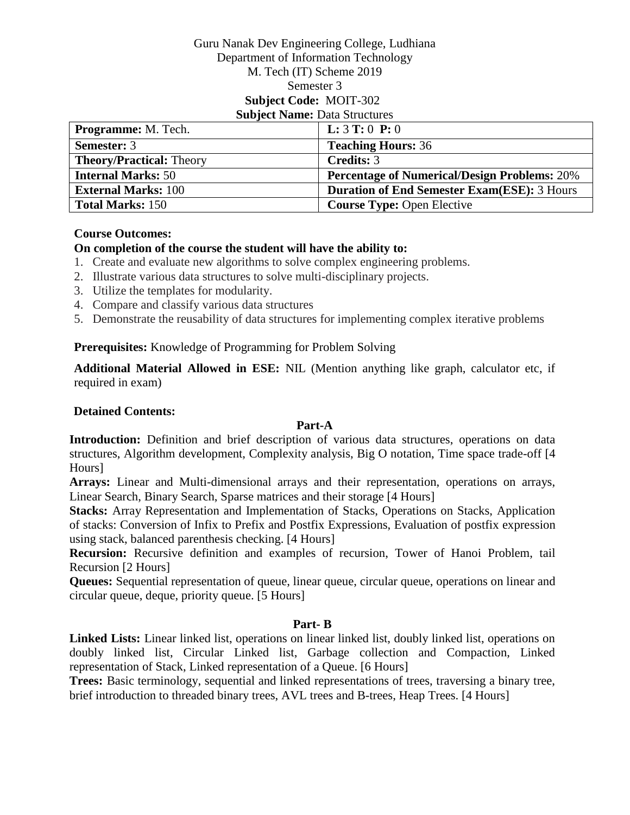#### Guru Nanak Dev Engineering College, Ludhiana Department of Information Technology M. Tech (IT) Scheme 2019 Semester 3 **Subject Code:** MOIT-302 **Subject Name: Data Structures**

| Programme: M. Tech.             | <b>L:</b> $3$ <b>T:</b> $0$ <b>P:</b> $0$           |
|---------------------------------|-----------------------------------------------------|
| <b>Semester: 3</b>              | <b>Teaching Hours: 36</b>                           |
| <b>Theory/Practical: Theory</b> | Credits: 3                                          |
| <b>Internal Marks: 50</b>       | <b>Percentage of Numerical/Design Problems: 20%</b> |
| <b>External Marks: 100</b>      | <b>Duration of End Semester Exam(ESE): 3 Hours</b>  |
| <b>Total Marks: 150</b>         | <b>Course Type: Open Elective</b>                   |

#### **Course Outcomes:**

#### **On completion of the course the student will have the ability to:**

- 1. Create and evaluate new algorithms to solve complex engineering problems.
- 2. Illustrate various data structures to solve multi-disciplinary projects.
- 3. Utilize the templates for modularity.
- 4. Compare and classify various data structures
- 5. Demonstrate the reusability of data structures for implementing complex iterative problems

#### **Prerequisites:** Knowledge of Programming for Problem Solving

**Additional Material Allowed in ESE:** NIL (Mention anything like graph, calculator etc, if required in exam)

#### **Detained Contents:**

#### **Part-A**

Introduction: Definition and brief description of various data structures, operations on data structures, Algorithm development, Complexity analysis, Big O notation, Time space trade-off [4 Hours]

**Arrays:** Linear and Multi-dimensional arrays and their representation, operations on arrays, Linear Search, Binary Search, Sparse matrices and their storage [4 Hours]

**Stacks:** Array Representation and Implementation of Stacks, Operations on Stacks, Application of stacks: Conversion of Infix to Prefix and Postfix Expressions, Evaluation of postfix expression using stack, balanced parenthesis checking. [4 Hours]

**Recursion:** Recursive definition and examples of recursion, Tower of Hanoi Problem, tail Recursion [2 Hours]

**Queues:** Sequential representation of queue, linear queue, circular queue, operations on linear and circular queue, deque, priority queue. [5 Hours]

#### **Part- B**

**Linked Lists:** Linear linked list, operations on linear linked list, doubly linked list, operations on doubly linked list, Circular Linked list, Garbage collection and Compaction, Linked representation of Stack, Linked representation of a Queue. [6 Hours]

**Trees:** Basic terminology, sequential and linked representations of trees, traversing a binary tree, brief introduction to threaded binary trees, AVL trees and B-trees, Heap Trees. [4 Hours]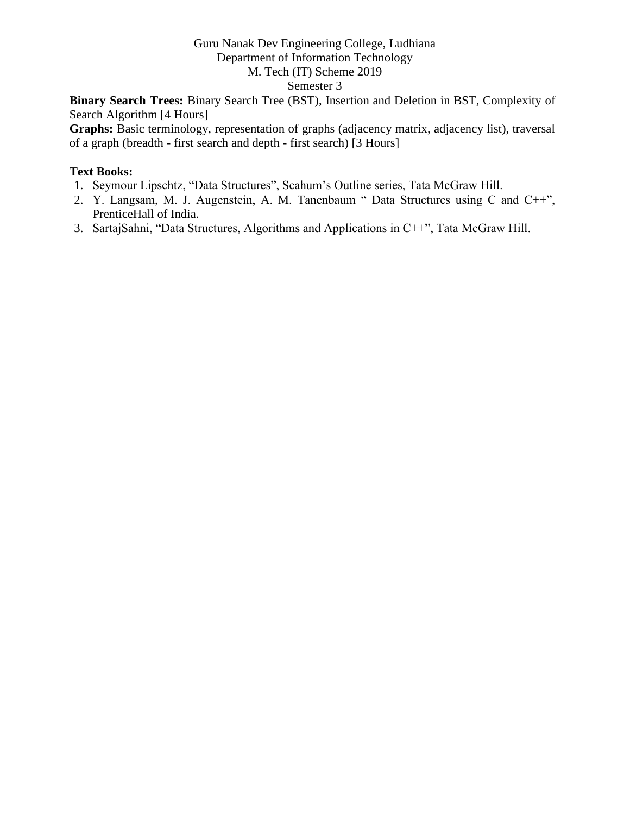# Guru Nanak Dev Engineering College, Ludhiana Department of Information Technology

# M. Tech (IT) Scheme 2019

# Semester 3

**Binary Search Trees:** Binary Search Tree (BST), Insertion and Deletion in BST, Complexity of Search Algorithm [4 Hours]

Graphs: Basic terminology, representation of graphs (adjacency matrix, adjacency list), traversal of a graph (breadth - first search and depth - first search) [3 Hours]

- 1. Seymour Lipschtz, "Data Structures", Scahum's Outline series, Tata McGraw Hill.
- 2. Y. Langsam, M. J. Augenstein, A. M. Tanenbaum " Data Structures using C and C++", PrenticeHall of India.
- 3. SartajSahni, "Data Structures, Algorithms and Applications in C++", Tata McGraw Hill.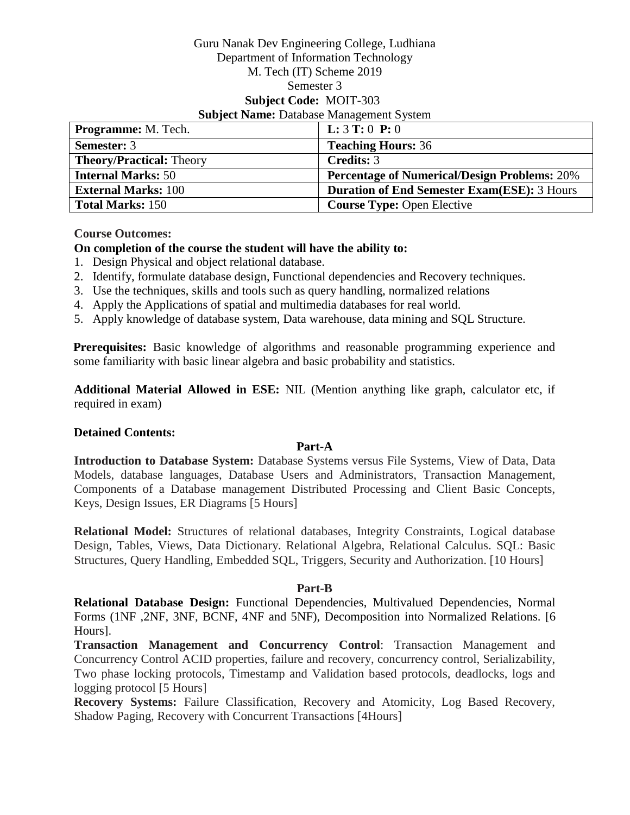#### Guru Nanak Dev Engineering College, Ludhiana Department of Information Technology M. Tech (IT) Scheme 2019 Semester 3 **Subject Code:** MOIT-303 **Subject Name: Database Management System**

| <b>Programme:</b> M. Tech.      | <b>L:</b> $3T:0P:0$                                 |
|---------------------------------|-----------------------------------------------------|
| <b>Semester: 3</b>              | <b>Teaching Hours: 36</b>                           |
| <b>Theory/Practical: Theory</b> | <b>Credits: 3</b>                                   |
| <b>Internal Marks: 50</b>       | <b>Percentage of Numerical/Design Problems: 20%</b> |
| <b>External Marks: 100</b>      | <b>Duration of End Semester Exam(ESE): 3 Hours</b>  |
| <b>Total Marks: 150</b>         | <b>Course Type: Open Elective</b>                   |

**Course Outcomes:**

# **On completion of the course the student will have the ability to:**

- 1. Design Physical and object relational database.
- 2. Identify, formulate database design, Functional dependencies and Recovery techniques.
- 3. Use the techniques, skills and tools such as query handling, normalized relations
- 4. Apply the Applications of spatial and multimedia databases for real world.
- 5. Apply knowledge of database system, Data warehouse, data mining and SQL Structure.

**Prerequisites:** Basic knowledge of algorithms and reasonable programming experience and some familiarity with basic linear algebra and basic probability and statistics.

**Additional Material Allowed in ESE:** NIL (Mention anything like graph, calculator etc, if required in exam)

#### **Detained Contents:**

#### **Part-A**

**Introduction to Database System:** Database Systems versus File Systems, View of Data, Data Models, database languages, Database Users and Administrators, Transaction Management, Components of a Database management Distributed Processing and Client Basic Concepts, Keys, Design Issues, ER Diagrams [5 Hours]

**Relational Model:** Structures of relational databases, Integrity Constraints, Logical database Design, Tables, Views, Data Dictionary. Relational Algebra, Relational Calculus. SQL: Basic Structures, Query Handling, Embedded SQL, Triggers, Security and Authorization. [10 Hours]

#### **Part-B**

**Relational Database Design:** Functional Dependencies, Multivalued Dependencies, Normal Forms (1NF ,2NF, 3NF, BCNF, 4NF and 5NF), Decomposition into Normalized Relations. [6 Hours].

**Transaction Management and Concurrency Control**: Transaction Management and Concurrency Control ACID properties, failure and recovery, concurrency control, Serializability, Two phase locking protocols, Timestamp and Validation based protocols, deadlocks, logs and logging protocol [5 Hours]

**Recovery Systems:** Failure Classification, Recovery and Atomicity, Log Based Recovery, Shadow Paging, Recovery with Concurrent Transactions [4Hours]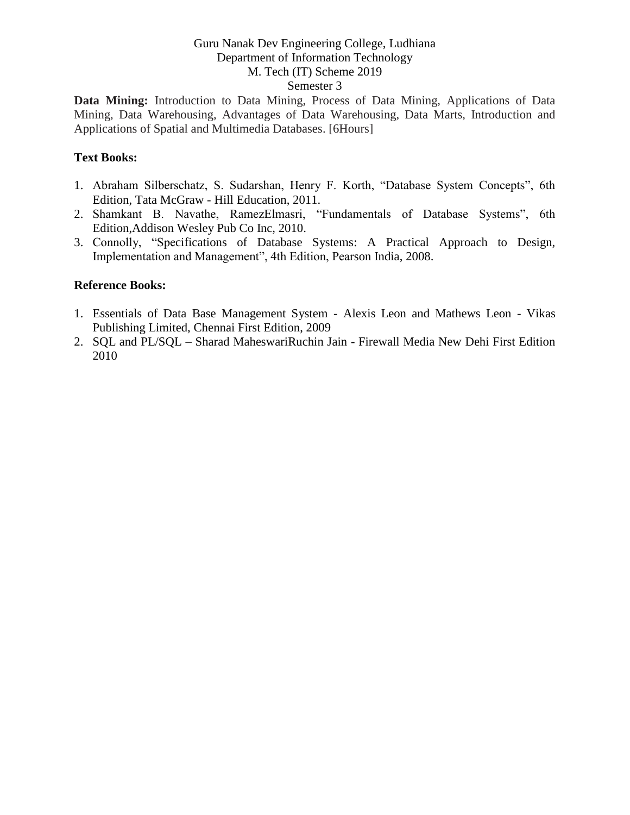**Data Mining:** Introduction to Data Mining, Process of Data Mining, Applications of Data Mining, Data Warehousing, Advantages of Data Warehousing, Data Marts, Introduction and Applications of Spatial and Multimedia Databases. [6Hours]

#### **Text Books:**

- 1. Abraham Silberschatz, S. Sudarshan, Henry F. Korth, "Database System Concepts", 6th Edition, Tata McGraw - Hill Education, 2011.
- 2. Shamkant B. Navathe, RamezElmasri, "Fundamentals of Database Systems", 6th Edition,Addison Wesley Pub Co Inc, 2010.
- 3. Connolly, "Specifications of Database Systems: A Practical Approach to Design, Implementation and Management", 4th Edition, Pearson India, 2008.

#### **Reference Books:**

- 1. Essentials of Data Base Management System Alexis Leon and Mathews Leon Vikas Publishing Limited, Chennai First Edition, 2009
- 2. SQL and PL/SQL Sharad MaheswariRuchin Jain Firewall Media New Dehi First Edition 2010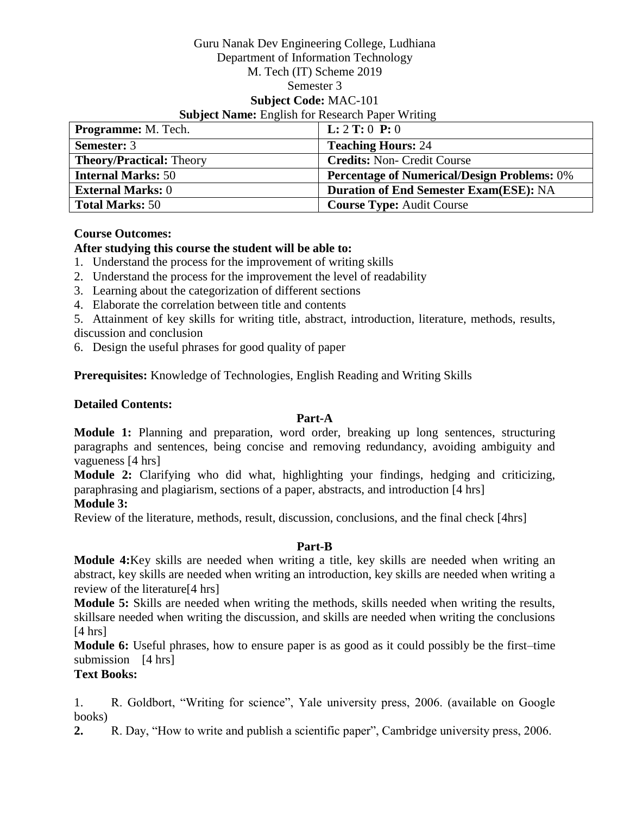#### Guru Nanak Dev Engineering College, Ludhiana Department of Information Technology M. Tech (IT) Scheme 2019 Semester 3 **Subject Code:** MAC-101 **Subject Name:** English for Research Paper Writing

| <b>Programme:</b> M. Tech.      | <b>L:</b> $2$ <b>T:</b> $0$ <b>P:</b> $0$          |
|---------------------------------|----------------------------------------------------|
| <b>Semester: 3</b>              | <b>Teaching Hours: 24</b>                          |
| <b>Theory/Practical: Theory</b> | <b>Credits: Non- Credit Course</b>                 |
| <b>Internal Marks: 50</b>       | <b>Percentage of Numerical/Design Problems: 0%</b> |
| <b>External Marks: 0</b>        | <b>Duration of End Semester Exam(ESE): NA</b>      |
| <b>Total Marks: 50</b>          | <b>Course Type: Audit Course</b>                   |

#### **Course Outcomes:**

#### **After studying this course the student will be able to:**

- 1. Understand the process for the improvement of writing skills
- 2. Understand the process for the improvement the level of readability
- 3. Learning about the categorization of different sections
- 4. Elaborate the correlation between title and contents

5. Attainment of key skills for writing title, abstract, introduction, literature, methods, results, discussion and conclusion

6. Design the useful phrases for good quality of paper

**Prerequisites:** Knowledge of Technologies, English Reading and Writing Skills

#### **Detailed Contents:**

#### **Part-A**

**Module 1:** Planning and preparation, word order, breaking up long sentences, structuring paragraphs and sentences, being concise and removing redundancy, avoiding ambiguity and vagueness [4 hrs]

**Module 2:** Clarifying who did what, highlighting your findings, hedging and criticizing, paraphrasing and plagiarism, sections of a paper, abstracts, and introduction [4 hrs]

# **Module 3:**

Review of the literature, methods, result, discussion, conclusions, and the final check [4hrs]

#### **Part-B**

**Module 4:**Key skills are needed when writing a title, key skills are needed when writing an abstract, key skills are needed when writing an introduction, key skills are needed when writing a review of the literature[4 hrs]

**Module 5:** Skills are needed when writing the methods, skills needed when writing the results, skillsare needed when writing the discussion, and skills are needed when writing the conclusions  $[4 \text{ hrs}]$ 

**Module 6:** Useful phrases, how to ensure paper is as good as it could possibly be the first–time submission [4 hrs]

## **Text Books:**

1. R. Goldbort, "Writing for science", Yale university press, 2006. (available on Google books)

**2.** R. Day, "How to write and publish a scientific paper", Cambridge university press, 2006.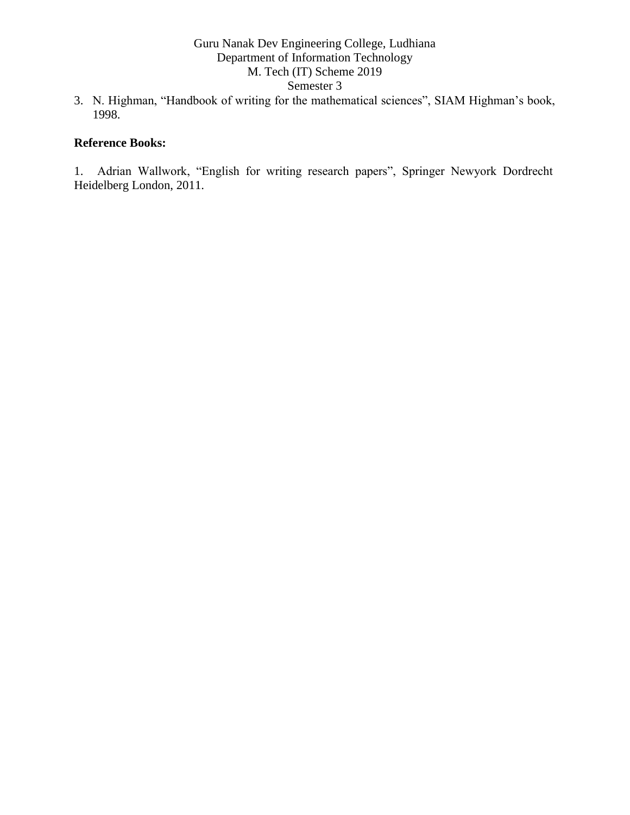- Semester 3
- 3. N. Highman, "Handbook of writing for the mathematical sciences", SIAM Highman's book, 1998.

# **Reference Books:**

1. Adrian Wallwork, "English for writing research papers", Springer Newyork Dordrecht Heidelberg London, 2011.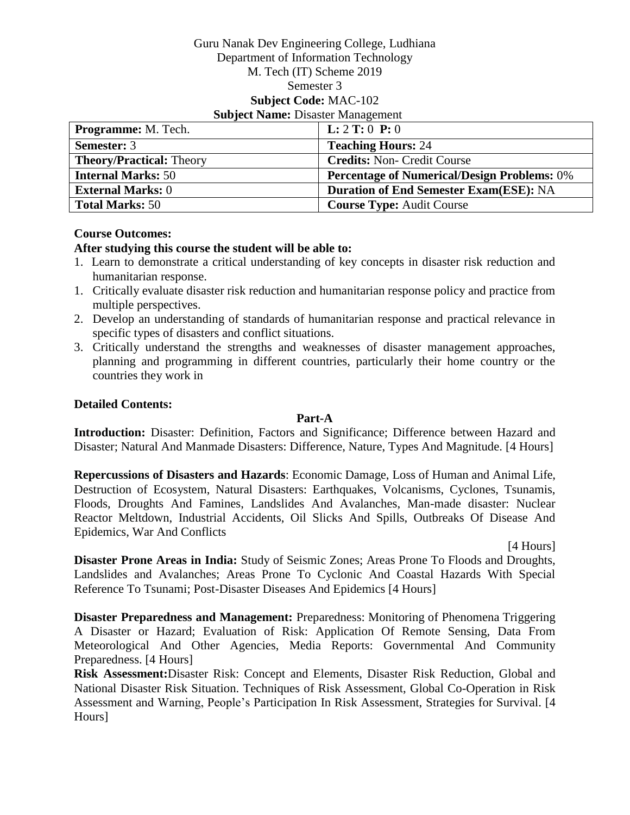#### Guru Nanak Dev Engineering College, Ludhiana Department of Information Technology M. Tech (IT) Scheme 2019 Semester 3 **Subject Code:** MAC-102 **Subject Name:** Disaster Management

| <b>Programme:</b> M. Tech.      | <b>L:</b> $2$ <b>T:</b> $0$ <b>P:</b> $0$          |
|---------------------------------|----------------------------------------------------|
| <b>Semester: 3</b>              | <b>Teaching Hours: 24</b>                          |
| <b>Theory/Practical: Theory</b> | <b>Credits: Non- Credit Course</b>                 |
| <b>Internal Marks: 50</b>       | <b>Percentage of Numerical/Design Problems: 0%</b> |
| <b>External Marks: 0</b>        | <b>Duration of End Semester Exam(ESE): NA</b>      |
| <b>Total Marks: 50</b>          | <b>Course Type: Audit Course</b>                   |

#### **Course Outcomes:**

## **After studying this course the student will be able to:**

- 1. Learn to demonstrate a critical understanding of key concepts in disaster risk reduction and humanitarian response.
- 1. Critically evaluate disaster risk reduction and humanitarian response policy and practice from multiple perspectives.
- 2. Develop an understanding of standards of humanitarian response and practical relevance in specific types of disasters and conflict situations.
- 3. Critically understand the strengths and weaknesses of disaster management approaches, planning and programming in different countries, particularly their home country or the countries they work in

## **Detailed Contents:**

# **Part-A**

**Introduction:** Disaster: Definition, Factors and Significance; Difference between Hazard and Disaster; Natural And Manmade Disasters: Difference, Nature, Types And Magnitude. [4 Hours]

**Repercussions of Disasters and Hazards**: Economic Damage, Loss of Human and Animal Life, Destruction of Ecosystem, Natural Disasters: Earthquakes, Volcanisms, Cyclones, Tsunamis, Floods, Droughts And Famines, Landslides And Avalanches, Man-made disaster: Nuclear Reactor Meltdown, Industrial Accidents, Oil Slicks And Spills, Outbreaks Of Disease And Epidemics, War And Conflicts

[4 Hours]

**Disaster Prone Areas in India:** Study of Seismic Zones; Areas Prone To Floods and Droughts, Landslides and Avalanches; Areas Prone To Cyclonic And Coastal Hazards With Special Reference To Tsunami; Post-Disaster Diseases And Epidemics [4 Hours]

**Disaster Preparedness and Management:** Preparedness: Monitoring of Phenomena Triggering A Disaster or Hazard; Evaluation of Risk: Application Of Remote Sensing, Data From Meteorological And Other Agencies, Media Reports: Governmental And Community Preparedness. [4 Hours]

**Risk Assessment:**Disaster Risk: Concept and Elements, Disaster Risk Reduction, Global and National Disaster Risk Situation. Techniques of Risk Assessment, Global Co-Operation in Risk Assessment and Warning, People's Participation In Risk Assessment, Strategies for Survival. [4 Hours]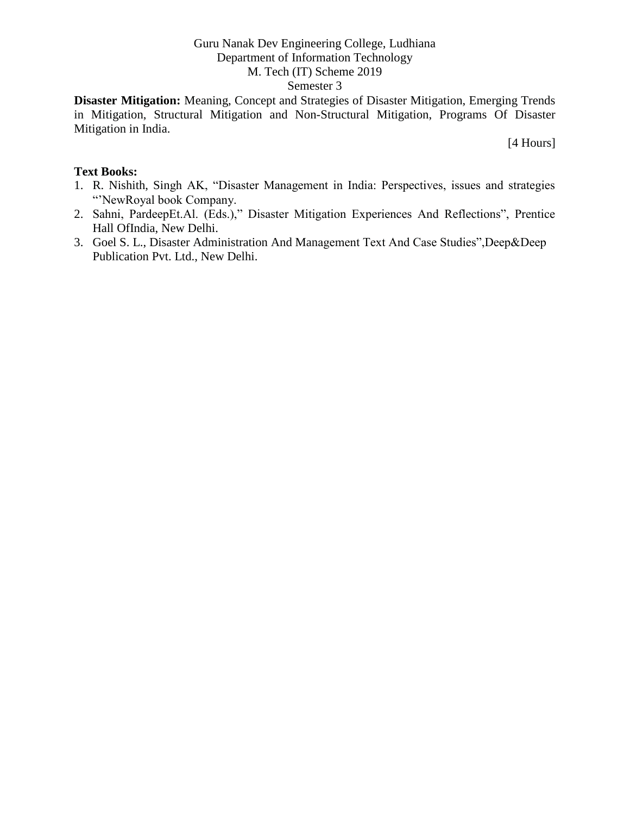**Disaster Mitigation:** Meaning, Concept and Strategies of Disaster Mitigation, Emerging Trends in Mitigation, Structural Mitigation and Non-Structural Mitigation, Programs Of Disaster Mitigation in India.

[4 Hours]

- 1. R. Nishith, Singh AK, "Disaster Management in India: Perspectives, issues and strategies "'NewRoyal book Company.
- 2. Sahni, PardeepEt.Al. (Eds.)," Disaster Mitigation Experiences And Reflections", Prentice Hall OfIndia, New Delhi.
- 3. Goel S. L., Disaster Administration And Management Text And Case Studies",Deep&Deep Publication Pvt. Ltd., New Delhi.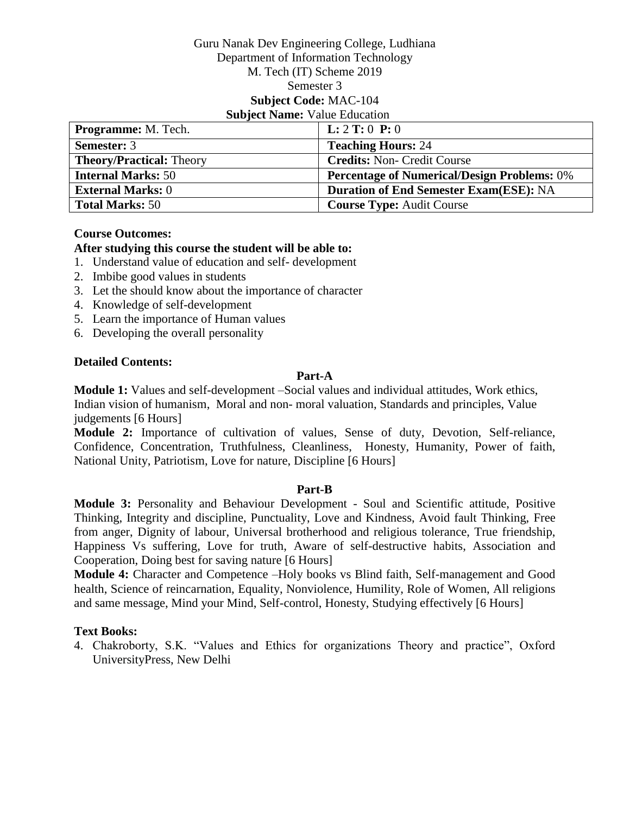#### Guru Nanak Dev Engineering College, Ludhiana Department of Information Technology M. Tech (IT) Scheme 2019 Semester 3 **Subject Code:** MAC-104 **Subject Name:** Value Education

| <b>Programme:</b> M. Tech.      | <b>L:</b> $2$ <b>T:</b> $0$ <b>P:</b> $0$          |
|---------------------------------|----------------------------------------------------|
| <b>Semester: 3</b>              | <b>Teaching Hours: 24</b>                          |
| <b>Theory/Practical: Theory</b> | <b>Credits: Non- Credit Course</b>                 |
| <b>Internal Marks: 50</b>       | <b>Percentage of Numerical/Design Problems: 0%</b> |
| <b>External Marks: 0</b>        | <b>Duration of End Semester Exam(ESE): NA</b>      |
| <b>Total Marks: 50</b>          | <b>Course Type: Audit Course</b>                   |

#### **Course Outcomes:**

## **After studying this course the student will be able to:**

- 1. Understand value of education and self- development
- 2. Imbibe good values in students
- 3. Let the should know about the importance of character
- 4. Knowledge of self-development
- 5. Learn the importance of Human values
- 6. Developing the overall personality

#### **Detailed Contents:**

## **Part-A**

**Module 1:** Values and self-development –Social values and individual attitudes, Work ethics, Indian vision of humanism, Moral and non- moral valuation, Standards and principles, Value judgements [6 Hours]

**Module 2:** Importance of cultivation of values, Sense of duty, Devotion, Self-reliance, Confidence, Concentration, Truthfulness, Cleanliness, Honesty, Humanity, Power of faith, National Unity, Patriotism, Love for nature, Discipline [6 Hours]

#### **Part-B**

**Module 3:** Personality and Behaviour Development - Soul and Scientific attitude, Positive Thinking, Integrity and discipline, Punctuality, Love and Kindness, Avoid fault Thinking, Free from anger, Dignity of labour, Universal brotherhood and religious tolerance, True friendship, Happiness Vs suffering, Love for truth, Aware of self-destructive habits, Association and Cooperation, Doing best for saving nature [6 Hours]

**Module 4:** Character and Competence –Holy books vs Blind faith, Self-management and Good health, Science of reincarnation, Equality, Nonviolence, Humility, Role of Women, All religions and same message, Mind your Mind, Self-control, Honesty, Studying effectively [6 Hours]

#### **Text Books:**

4. Chakroborty, S.K. "Values and Ethics for organizations Theory and practice", Oxford UniversityPress, New Delhi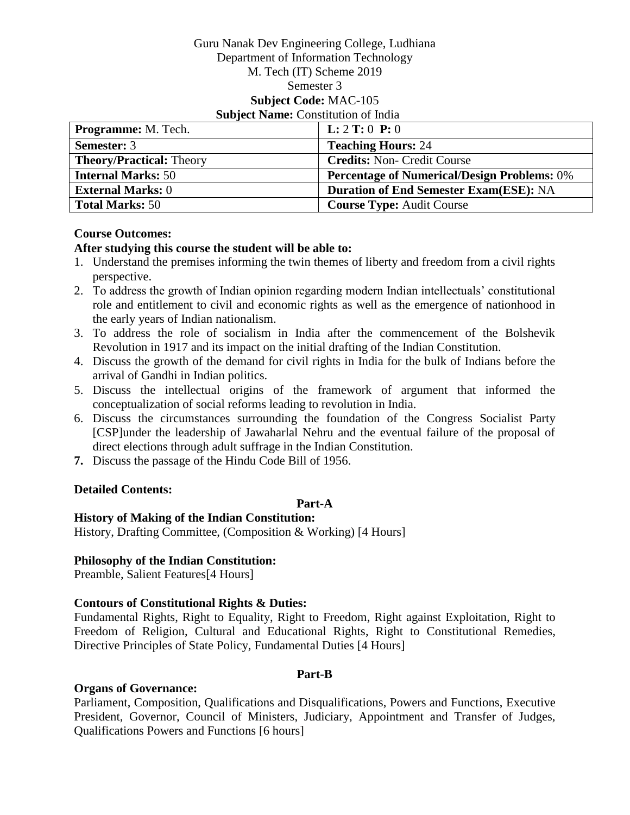#### Guru Nanak Dev Engineering College, Ludhiana Department of Information Technology M. Tech (IT) Scheme 2019 Semester 3 **Subject Code:** MAC-105 **Subject Name: Constitution of India**

| <b>Programme:</b> M. Tech.      | <b>L:</b> $2$ <b>T:</b> $0$ <b>P:</b> $0$          |
|---------------------------------|----------------------------------------------------|
| <b>Semester: 3</b>              | <b>Teaching Hours: 24</b>                          |
| <b>Theory/Practical: Theory</b> | <b>Credits: Non- Credit Course</b>                 |
| <b>Internal Marks: 50</b>       | <b>Percentage of Numerical/Design Problems: 0%</b> |
| <b>External Marks: 0</b>        | <b>Duration of End Semester Exam(ESE): NA</b>      |
| <b>Total Marks: 50</b>          | <b>Course Type: Audit Course</b>                   |

## **Course Outcomes:**

#### **After studying this course the student will be able to:**

- 1. Understand the premises informing the twin themes of liberty and freedom from a civil rights perspective.
- 2. To address the growth of Indian opinion regarding modern Indian intellectuals' constitutional role and entitlement to civil and economic rights as well as the emergence of nationhood in the early years of Indian nationalism.
- 3. To address the role of socialism in India after the commencement of the Bolshevik Revolution in 1917 and its impact on the initial drafting of the Indian Constitution.
- 4. Discuss the growth of the demand for civil rights in India for the bulk of Indians before the arrival of Gandhi in Indian politics.
- 5. Discuss the intellectual origins of the framework of argument that informed the conceptualization of social reforms leading to revolution in India.
- 6. Discuss the circumstances surrounding the foundation of the Congress Socialist Party [CSP]under the leadership of Jawaharlal Nehru and the eventual failure of the proposal of direct elections through adult suffrage in the Indian Constitution.
- **7.** Discuss the passage of the Hindu Code Bill of 1956.

# **Detailed Contents:**

#### **Part-A**

## **History of Making of the Indian Constitution:**

History, Drafting Committee, (Composition & Working) [4 Hours]

#### **Philosophy of the Indian Constitution:**

Preamble, Salient Features[4 Hours]

#### **Contours of Constitutional Rights & Duties:**

Fundamental Rights, Right to Equality, Right to Freedom, Right against Exploitation, Right to Freedom of Religion, Cultural and Educational Rights, Right to Constitutional Remedies, Directive Principles of State Policy, Fundamental Duties [4 Hours]

#### **Part-B**

#### **Organs of Governance:**

Parliament, Composition, Qualifications and Disqualifications, Powers and Functions, Executive President, Governor, Council of Ministers, Judiciary, Appointment and Transfer of Judges, Qualifications Powers and Functions [6 hours]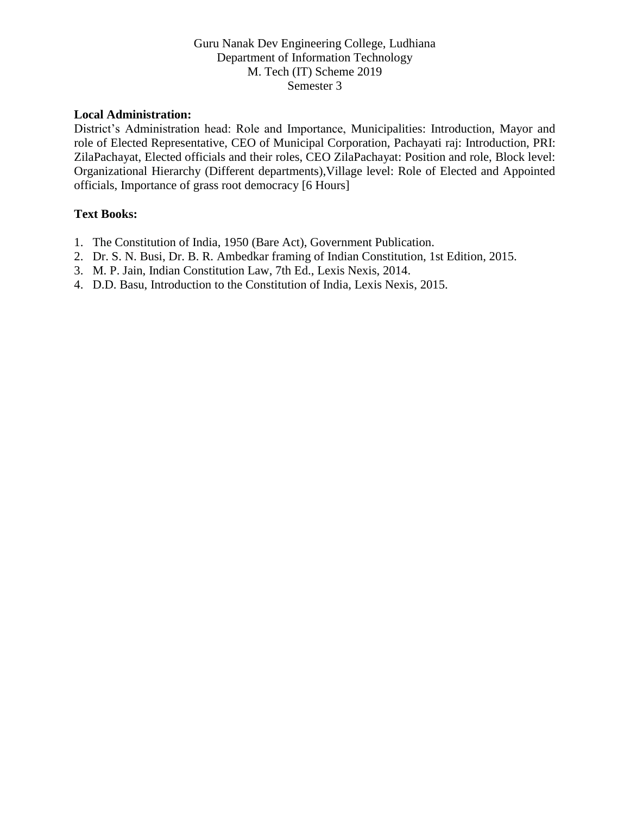#### **Local Administration:**

District's Administration head: Role and Importance, Municipalities: Introduction, Mayor and role of Elected Representative, CEO of Municipal Corporation, Pachayati raj: Introduction, PRI: ZilaPachayat, Elected officials and their roles, CEO ZilaPachayat: Position and role, Block level: Organizational Hierarchy (Different departments),Village level: Role of Elected and Appointed officials, Importance of grass root democracy [6 Hours]

- 1. The Constitution of India, 1950 (Bare Act), Government Publication.
- 2. Dr. S. N. Busi, Dr. B. R. Ambedkar framing of Indian Constitution, 1st Edition, 2015.
- 3. M. P. Jain, Indian Constitution Law, 7th Ed., Lexis Nexis, 2014.
- 4. D.D. Basu, Introduction to the Constitution of India, Lexis Nexis, 2015.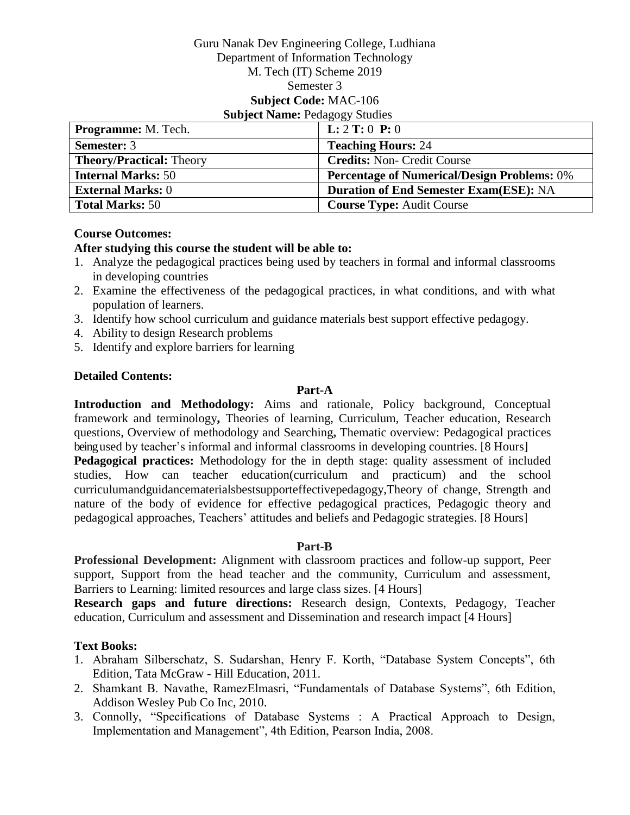#### Guru Nanak Dev Engineering College, Ludhiana Department of Information Technology M. Tech (IT) Scheme 2019 Semester 3 **Subject Code:** MAC-106 **Subject Name: Pedagogy Studies**

| <b>Programme:</b> M. Tech.      | <b>L:</b> $2$ <b>T:</b> $0$ <b>P:</b> $0$          |
|---------------------------------|----------------------------------------------------|
| <b>Semester: 3</b>              | <b>Teaching Hours: 24</b>                          |
| <b>Theory/Practical: Theory</b> | <b>Credits: Non- Credit Course</b>                 |
| <b>Internal Marks: 50</b>       | <b>Percentage of Numerical/Design Problems: 0%</b> |
| <b>External Marks: 0</b>        | <b>Duration of End Semester Exam(ESE): NA</b>      |
| <b>Total Marks: 50</b>          | <b>Course Type: Audit Course</b>                   |

## **Course Outcomes:**

## **After studying this course the student will be able to:**

- 1. Analyze the pedagogical practices being used by teachers in formal and informal classrooms in developing countries
- 2. Examine the effectiveness of the pedagogical practices, in what conditions, and with what population of learners.
- 3. Identify how school curriculum and guidance materials best support effective pedagogy.
- 4. Ability to design Research problems
- 5. Identify and explore barriers for learning

# **Detailed Contents:**

# **Part-A**

**Introduction and Methodology:** Aims and rationale, Policy background, Conceptual framework and terminology**,** Theories of learning, Curriculum, Teacher education, Research questions, Overview of methodology and Searching**,** Thematic overview: Pedagogical practices beingused by teacher's informal and informal classrooms in developing countries. [8 Hours] **Pedagogical practices:** Methodology for the in depth stage: quality assessment of included studies, How can teacher education(curriculum and practicum) and the school curriculumandguidancematerialsbestsupporteffectivepedagogy,Theory of change, Strength and nature of the body of evidence for effective pedagogical practices, Pedagogic theory and

pedagogical approaches, Teachers' attitudes and beliefs and Pedagogic strategies. [8 Hours]

# **Part-B**

**Professional Development:** Alignment with classroom practices and follow-up support, Peer support, Support from the head teacher and the community, Curriculum and assessment, Barriers to Learning: limited resources and large class sizes. [4 Hours]

**Research gaps and future directions:** Research design, Contexts, Pedagogy, Teacher education, Curriculum and assessment and Dissemination and research impact [4 Hours]

- 1. Abraham Silberschatz, S. Sudarshan, Henry F. Korth, "Database System Concepts", 6th Edition, Tata McGraw - Hill Education, 2011.
- 2. Shamkant B. Navathe, RamezElmasri, "Fundamentals of Database Systems", 6th Edition, Addison Wesley Pub Co Inc, 2010.
- 3. Connolly, "Specifications of Database Systems : A Practical Approach to Design, Implementation and Management", 4th Edition, Pearson India, 2008.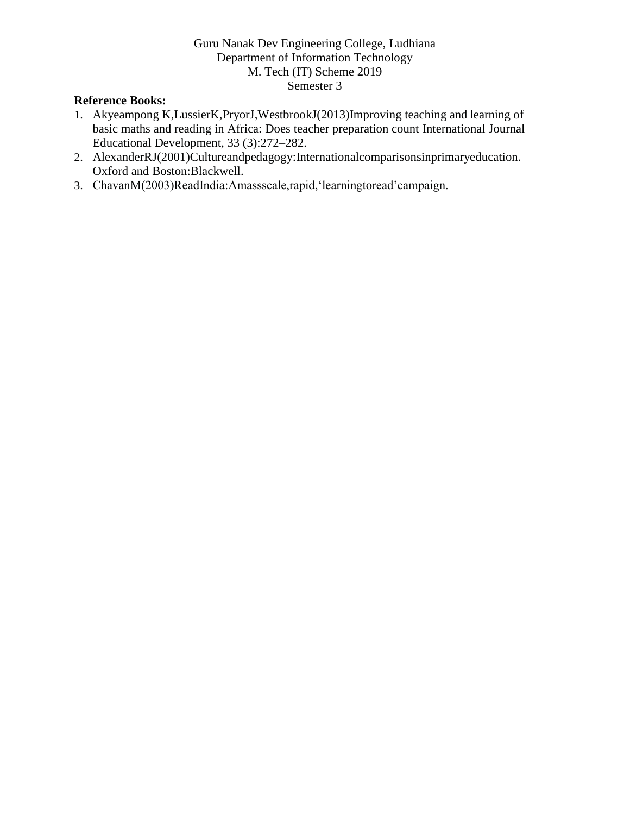## **Reference Books:**

- 1. Akyeampong K,LussierK,PryorJ,WestbrookJ(2013)Improving teaching and learning of basic maths and reading in Africa: Does teacher preparation count International Journal Educational Development, 33 (3):272–282.
- 2. AlexanderRJ(2001)Cultureandpedagogy:Internationalcomparisonsinprimaryeducation. Oxford and Boston:Blackwell.
- 3. ChavanM(2003)ReadIndia:Amassscale,rapid,'learningtoread'campaign.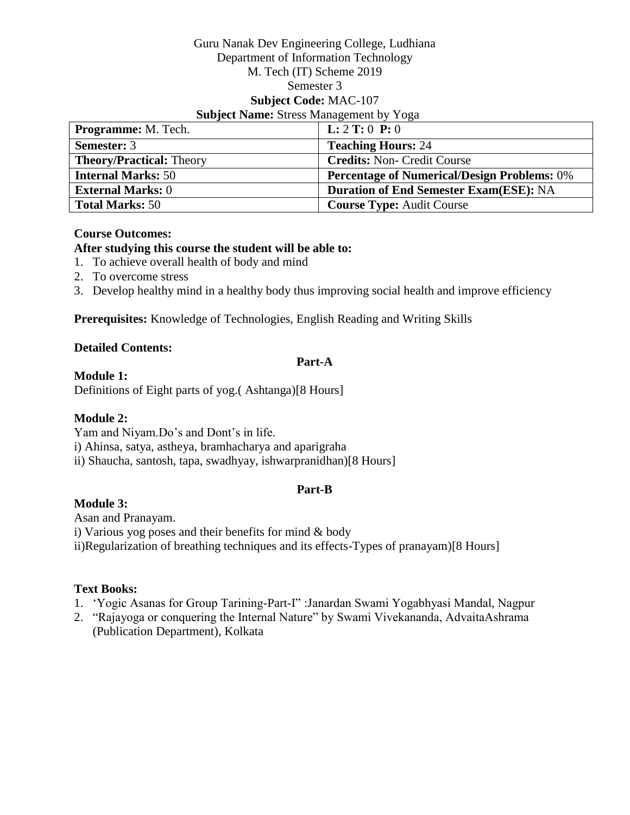#### Guru Nanak Dev Engineering College, Ludhiana Department of Information Technology M. Tech (IT) Scheme 2019 Semester 3 **Subject Code:** MAC-107 **Subject Name:** Stress Management by Yoga

| Programme: M. Tech.             | <b>L:</b> $2$ <b>T:</b> $0$ <b>P:</b> $0$          |
|---------------------------------|----------------------------------------------------|
| <b>Semester: 3</b>              | <b>Teaching Hours: 24</b>                          |
| <b>Theory/Practical: Theory</b> | <b>Credits: Non- Credit Course</b>                 |
| <b>Internal Marks: 50</b>       | <b>Percentage of Numerical/Design Problems: 0%</b> |
| <b>External Marks: 0</b>        | <b>Duration of End Semester Exam(ESE): NA</b>      |
| <b>Total Marks: 50</b>          | <b>Course Type: Audit Course</b>                   |

#### **Course Outcomes:**

## **After studying this course the student will be able to:**

- 1. To achieve overall health of body and mind
- 2. To overcome stress
- 3. Develop healthy mind in a healthy body thus improving social health and improve efficiency

**Prerequisites:** Knowledge of Technologies, English Reading and Writing Skills

## **Detailed Contents:**

#### **Part-A**

## **Module 1:**

Definitions of Eight parts of yog.( Ashtanga)[8 Hours]

# **Module 2:**

Yam and Niyam.Do's and Dont's in life.

i) Ahinsa, satya, astheya, bramhacharya and aparigraha

ii) Shaucha, santosh, tapa, swadhyay, ishwarpranidhan)[8 Hours]

# **Part-B**

# **Module 3:**

Asan and Pranayam. i) Various yog poses and their benefits for mind & body ii)Regularization of breathing techniques and its effects-Types of pranayam)[8 Hours]

- 1. 'Yogic Asanas for Group Tarining-Part-I" :Janardan Swami Yogabhyasi Mandal, Nagpur
- 2. "Rajayoga or conquering the Internal Nature" by Swami Vivekananda, AdvaitaAshrama (Publication Department), Kolkata